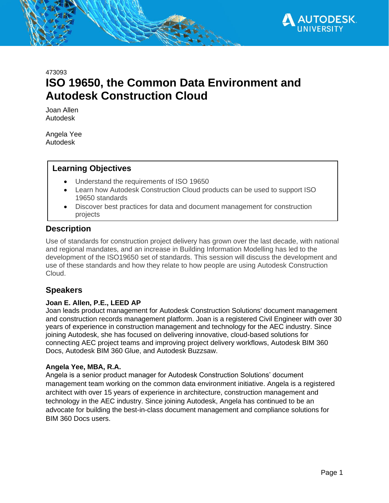

# 473093 **ISO 19650, the Common Data Environment and Autodesk Construction Cloud**

Joan Allen Autodesk

Angela Yee Autodesk

## **Learning Objectives**

- Understand the requirements of ISO 19650
- Learn how Autodesk Construction Cloud products can be used to support ISO 19650 standards
- Discover best practices for data and document management for construction projects

## **Description**

Use of standards for construction project delivery has grown over the last decade, with national and regional mandates, and an increase in Building Information Modelling has led to the development of the ISO19650 set of standards. This session will discuss the development and use of these standards and how they relate to how people are using Autodesk Construction Cloud.

# **Speakers**

### **Joan E. Allen, P.E., LEED AP**

Joan leads product management for Autodesk Construction Solutions' document management and construction records management platform. Joan is a registered Civil Engineer with over 30 years of experience in construction management and technology for the AEC industry. Since joining Autodesk, she has focused on delivering innovative, cloud-based solutions for connecting AEC project teams and improving project delivery workflows, Autodesk BIM 360 Docs, Autodesk BIM 360 Glue, and Autodesk Buzzsaw.

#### **Angela Yee, MBA, R.A.**

Angela is a senior product manager for Autodesk Construction Solutions' document management team working on the common data environment initiative. Angela is a registered architect with over 15 years of experience in architecture, construction management and technology in the AEC industry. Since joining Autodesk, Angela has continued to be an advocate for building the best-in-class document management and compliance solutions for BIM 360 Docs users.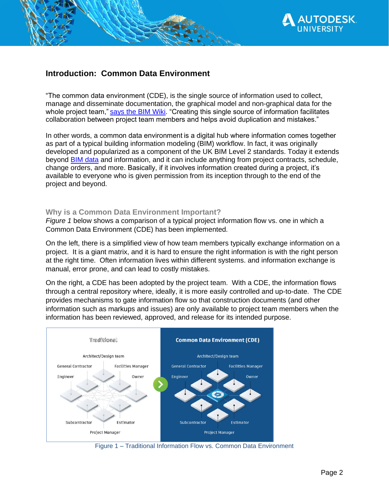

# **Introduction: Common Data Environment**

"The common data environment (CDE), is the single source of information used to collect, manage and disseminate documentation, the graphical model and non-graphical data for the whole project team," says the BIM Wiki. "Creating this single source of information facilitates collaboration between project team members and helps avoid duplication and mistakes."

In other words, a common data environment is a digital hub where information comes together as part of a typical building information modeling (BIM) workflow. In fact, it was originally developed and popularized as a component of the UK BIM Level 2 standards. Today it extends beyond [BIM data](http://constructionblog.autodesk.com/future-of-bim-infographic) and information, and it can include anything from project contracts, schedule, change orders, and more. Basically, if it involves information created during a project, it's available to everyone who is given permission from its inception through to the end of the project and beyond.

### **Why is a Common Data Environment Important?**

*Figure 1* below shows a comparison of a typical project information flow vs. one in which a Common Data Environment (CDE) has been implemented.

On the left, there is a simplified view of how team members typically exchange information on a project. It is a giant matrix, and it is hard to ensure the right information is with the right person at the right time. Often information lives within different systems. and information exchange is manual, error prone, and can lead to costly mistakes.

On the right, a CDE has been adopted by the project team. With a CDE, the information flows through a central repository where, ideally, it is more easily controlled and up-to-date. The CDE provides mechanisms to gate information flow so that construction documents (and other information such as markups and issues) are only available to project team members when the information has been reviewed, approved, and release for its intended purpose.



Figure 1 – Traditional Information Flow vs. Common Data Environment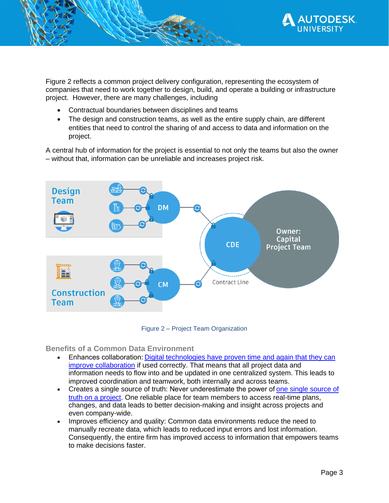

Figure 2 reflects a common project delivery configuration, representing the ecosystem of companies that need to work together to design, build, and operate a building or infrastructure project. However, there are many challenges, including

- Contractual boundaries between disciplines and teams
- The design and construction teams, as well as the entire supply chain, are different entities that need to control the sharing of and access to data and information on the project.

A central hub of information for the project is essential to not only the teams but also the owner – without that, information can be unreliable and increases project risk.



Figure 2 – Project Team Organization

**Benefits of a Common Data Environment**

- Enhances collaboration[: Digital technologies have proven time and again that they can](https://blog.plangrid.com/2019/07/digital-technology-can-improve-collaboration-formwork-firms/)  [improve collaboration](https://blog.plangrid.com/2019/07/digital-technology-can-improve-collaboration-formwork-firms/) if used correctly. That means that all project data and information needs to flow into and be updated in one centralized system. This leads to improved coordination and teamwork, both internally and across teams.
- Creates a single source of truth: Never underestimate the power of one single [source of](https://www.forbes.com/sites/brentdykes/2018/01/10/single-version-of-truth-why-your-company-must-speak-the-same-data-language/)  [truth on a project.](https://www.forbes.com/sites/brentdykes/2018/01/10/single-version-of-truth-why-your-company-must-speak-the-same-data-language/) One reliable place for team members to access real-time plans, changes, and data leads to better decision-making and insight across projects and even company-wide.
- Improves efficiency and quality: Common data environments reduce the need to manually recreate data, which leads to reduced input errors and lost information. Consequently, the entire firm has improved access to information that empowers teams to make decisions faster.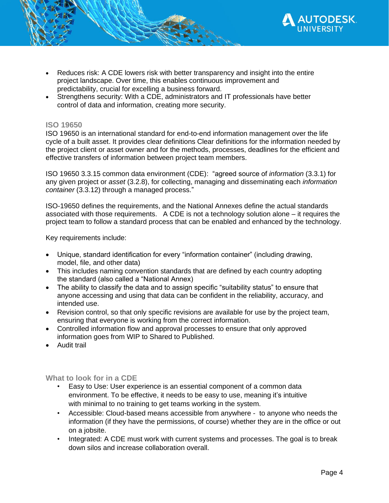

- Reduces risk: A CDE lowers risk with better transparency and insight into the entire project landscape. Over time, this enables continuous improvement and predictability, crucial for excelling a business forward.
- Strengthens security: With a CDE, administrators and IT professionals have better control of data and information, creating more security.

#### **ISO 19650**

ISO 19650 is an international standard for end-to-end information management over the life cycle of a built asset. It provides clear definitions Clear definitions for the information needed by the project client or asset owner and for the methods, processes, deadlines for the efficient and effective transfers of information between project team members.

ISO 19650 3.3.15 common data environment (CDE): "agreed source of *information* (3.3.1) for any given project or *asset* (3.2.8), for collecting, managing and disseminating each *information container* (3.3.12) through a managed process."

ISO-19650 defines the requirements, and the National Annexes define the actual standards associated with those requirements. A CDE is not a technology solution alone – it requires the project team to follow a standard process that can be enabled and enhanced by the technology.

Key requirements include:

- Unique, standard identification for every "information container" (including drawing, model, file, and other data)
- This includes naming convention standards that are defined by each country adopting the standard (also called a "National Annex)
- The ability to classify the data and to assign specific "suitability status" to ensure that anyone accessing and using that data can be confident in the reliability, accuracy, and intended use.
- Revision control, so that only specific revisions are available for use by the project team, ensuring that everyone is working from the correct information.
- Controlled information flow and approval processes to ensure that only approved information goes from WIP to Shared to Published.
- Audit trail

#### **What to look for in a CDE**

- Easy to Use: User experience is an essential component of a common data environment. To be effective, it needs to be easy to use, meaning it's intuitive with minimal to no training to get teams working in the system.
- Accessible: Cloud-based means accessible from anywhere to anyone who needs the information (if they have the permissions, of course) whether they are in the office or out on a jobsite.
- Integrated: A CDE must work with current systems and processes. The goal is to break down silos and increase collaboration overall.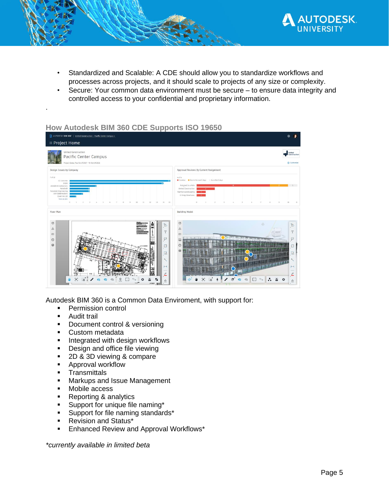

- Standardized and Scalable: A CDE should allow you to standardize workflows and processes across projects, and it should scale to projects of any size or complexity.
- Secure: Your common data environment must be secure to ensure data integrity and controlled access to your confidential and proprietary information.

### **How Autodesk BIM 360 CDE Supports ISO 19650**



Autodesk BIM 360 is a Common Data Enviroment, with support for:

- Permission control
- **■** Audit trail

.

- **•** Document control & versioning
- Custom metadata
- **■** Integrated with design workflows
- Design and office file viewing
- 2D & 3D viewing & compare
- Approval workflow
- **EXECUTE:** Transmittals
- Markups and Issue Management
- Mobile access
- Reporting & analytics
- Support for unique file naming\*
- **•** Support for file naming standards\*
- Revision and Status\*
- Enhanced Review and Approval Workflows\*

*\*currently available in limited beta*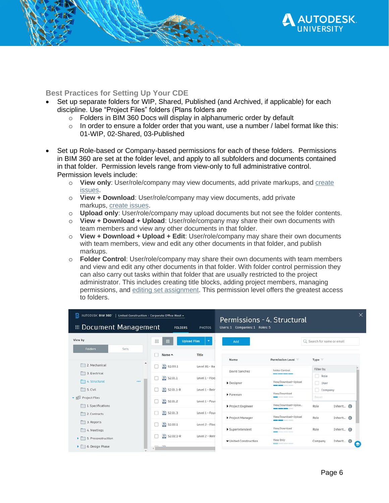

#### **Best Practices for Setting Up Your CDE**

- Set up separate folders for WIP, Shared, Published (and Archived, if applicable) for each discipline. Use "Project Files" folders (Plans folders are
	- o Folders in BIM 360 Docs will display in alphanumeric order by default
	- $\circ$  In order to ensure a folder order that you want, use a number / label format like this: 01-WIP, 02-Shared, 03-Published
- Set up Role-based or Company-based permissions for each of these folders. Permissions in BIM 360 are set at the folder level, and apply to all subfolders and documents contained in that folder. Permission levels range from view-only to full administrative control. Permission levels include:
	- o **View only**: User/role/company may view documents, add private markups, and [create](http://help.autodesk.com/view/BIM360D/ENU/?guid=GUID-2E10E17D-D814-4357-AD94-7AD10B1B55D4)  [issues.](http://help.autodesk.com/view/BIM360D/ENU/?guid=GUID-2E10E17D-D814-4357-AD94-7AD10B1B55D4)
	- o **View + Download**: User/role/company may view documents, add private markups, [create issues.](http://help.autodesk.com/view/BIM360D/ENU/?guid=GUID-2E10E17D-D814-4357-AD94-7AD10B1B55D4)
	- o **Upload only**: User/role/company may upload documents but not see the folder contents.
	- o **View + Download + Upload**: User/role/company may share their own documents with team members and view any other documents in that folder.
	- o **View + Download + Upload + Edit**: User/role/company may share their own documents with team members, view and edit any other documents in that folder, and publish markups.
	- o **Folder Control**: User/role/company may share their own documents with team members and view and edit any other documents in that folder. With folder control permission they can also carry out tasks within that folder that are usually restricted to the project administrator. This includes creating title blocks, adding project members, managing permissions, and [editing set assignment.](http://help.autodesk.com/view/BIM360D/ENU/?guid=BIM360D_Document_Management_To_Work_with_Document_Management_To_Work_with_Document_Sets_html) This permission level offers the greatest access to folders.

| AUTODESK BIM 360<br>United Construction > Corporate Office West +<br>Permissions - 4. Structural<br><b>E</b> Document Management<br>Users: 1 Companies: 1 Roles: 5<br><b>FOLDERS</b><br><b>PHOTOS</b> |                  |    |                                     |                |                       |                                                                                                                                                                                                                                                                                                                                                                                                                                                                            |                   | ×                     |
|-------------------------------------------------------------------------------------------------------------------------------------------------------------------------------------------------------|------------------|----|-------------------------------------|----------------|-----------------------|----------------------------------------------------------------------------------------------------------------------------------------------------------------------------------------------------------------------------------------------------------------------------------------------------------------------------------------------------------------------------------------------------------------------------------------------------------------------------|-------------------|-----------------------|
| View by                                                                                                                                                                                               |                  |    | 88<br><b>Upload Files</b><br>Ξ<br>暠 |                | Add                   | Q Search for name or email                                                                                                                                                                                                                                                                                                                                                                                                                                                 |                   |                       |
| <b>Folders</b>                                                                                                                                                                                        | Sets             |    | Name ^                              | Title          | Name                  | Permission Level                                                                                                                                                                                                                                                                                                                                                                                                                                                           | Type              |                       |
| 2. Mechanical<br>3. Electrical                                                                                                                                                                        | $\blacktriangle$ | m  | S2.00.1                             | Level B1 - Ba  |                       |                                                                                                                                                                                                                                                                                                                                                                                                                                                                            |                   |                       |
|                                                                                                                                                                                                       |                  |    |                                     |                | David Sanchez         | Folder Control                                                                                                                                                                                                                                                                                                                                                                                                                                                             | Filter by<br>Role |                       |
| 4. Structural                                                                                                                                                                                         |                  | F. | S2.01.1                             | Level 1 - Flog | Designer              | View/Download+Upload<br><b>CONTRACTOR</b> CONTRACTOR                                                                                                                                                                                                                                                                                                                                                                                                                       | User              |                       |
| 5. Civil                                                                                                                                                                                              |                  |    | S2.01.1-R                           | Level 1 - Reir |                       | View/Download                                                                                                                                                                                                                                                                                                                                                                                                                                                              | Company           |                       |
| • Files                                                                                                                                                                                               |                  | m  | 圖<br>S2.01.2                        | Level 1 - Four | Foreman               | <b>CONTRACTOR</b>                                                                                                                                                                                                                                                                                                                                                                                                                                                          | Reset             |                       |
| 1. Specifications                                                                                                                                                                                     |                  |    |                                     |                | Project Engineer      | View/Download+Uploa<br><b>County Service Service</b>                                                                                                                                                                                                                                                                                                                                                                                                                       | Role              | Inherit_ <sup>@</sup> |
| 2. Contracts                                                                                                                                                                                          |                  |    | 圖<br>S2.01.3                        | Level 1 - Four | Project Manager       | View/Download+Upload                                                                                                                                                                                                                                                                                                                                                                                                                                                       | Role              | Inherit.              |
| 3. Reports                                                                                                                                                                                            |                  |    | 昌<br>S2.02.1                        | Level 2 - Floc |                       | ____                                                                                                                                                                                                                                                                                                                                                                                                                                                                       |                   |                       |
| 4. Meetings                                                                                                                                                                                           |                  |    |                                     |                | Superintendent        | View/Download<br><b>CONTRACTOR</b> INTERNATIONAL                                                                                                                                                                                                                                                                                                                                                                                                                           | Role              | Inherit.              |
| 5. Preconstruction                                                                                                                                                                                    |                  |    | 豊<br>$S2.02.1 - R$                  | Level 2 - Reir | ▼ United Construction | View Only                                                                                                                                                                                                                                                                                                                                                                                                                                                                  | Company           | Inherit.              |
| 6. Design Phase                                                                                                                                                                                       |                  |    | <b>Tash</b>                         |                |                       | $\frac{1}{2} \left( \frac{1}{2} \right) \left( \frac{1}{2} \right) \left( \frac{1}{2} \right) \left( \frac{1}{2} \right) \left( \frac{1}{2} \right) \left( \frac{1}{2} \right) \left( \frac{1}{2} \right) \left( \frac{1}{2} \right) \left( \frac{1}{2} \right) \left( \frac{1}{2} \right) \left( \frac{1}{2} \right) \left( \frac{1}{2} \right) \left( \frac{1}{2} \right) \left( \frac{1}{2} \right) \left( \frac{1}{2} \right) \left( \frac{1}{2} \right) \left( \frac$ |                   | G                     |